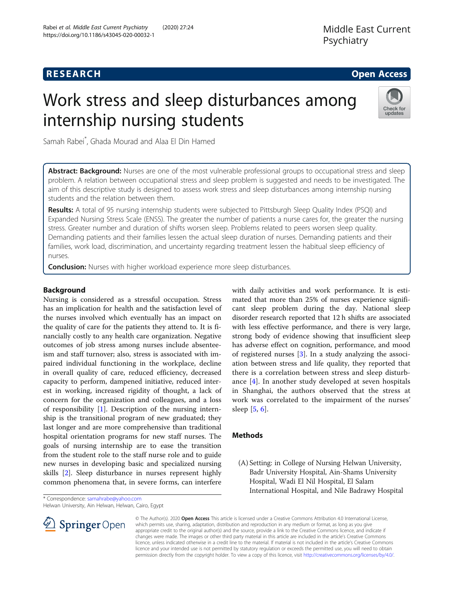# **RESEARCH CHE Open Access**

# Work stress and sleep disturbances among internship nursing students



Samah Rabei\* , Ghada Mourad and Alaa El Din Hamed

Abstract: Background: Nurses are one of the most vulnerable professional groups to occupational stress and sleep problem. A relation between occupational stress and sleep problem is suggested and needs to be investigated. The aim of this descriptive study is designed to assess work stress and sleep disturbances among internship nursing students and the relation between them.

Results: A total of 95 nursing internship students were subjected to Pittsburgh Sleep Quality Index (PSQI) and Expanded Nursing Stress Scale (ENSS). The greater the number of patients a nurse cares for, the greater the nursing stress. Greater number and duration of shifts worsen sleep. Problems related to peers worsen sleep quality. Demanding patients and their families lessen the actual sleep duration of nurses. Demanding patients and their families, work load, discrimination, and uncertainty regarding treatment lessen the habitual sleep efficiency of nurses.

**Conclusion:** Nurses with higher workload experience more sleep disturbances.

## Background

Nursing is considered as a stressful occupation. Stress has an implication for health and the satisfaction level of the nurses involved which eventually has an impact on the quality of care for the patients they attend to. It is financially costly to any health care organization. Negative outcomes of job stress among nurses include absenteeism and staff turnover; also, stress is associated with impaired individual functioning in the workplace, decline in overall quality of care, reduced efficiency, decreased capacity to perform, dampened initiative, reduced interest in working, increased rigidity of thought, a lack of concern for the organization and colleagues, and a loss of responsibility [[1\]](#page-5-0). Description of the nursing internship is the transitional program of new graduated; they last longer and are more comprehensive than traditional hospital orientation programs for new staff nurses. The goals of nursing internship are to ease the transition from the student role to the staff nurse role and to guide new nurses in developing basic and specialized nursing skills [[2\]](#page-5-0). Sleep disturbance in nurses represent highly common phenomena that, in severe forms, can interfere

\* Correspondence: [samahrabe@yahoo.com](mailto:samahrabe@yahoo.com)

Helwan University, Ain Helwan, Helwan, Cairo, Egypt



with daily activities and work performance. It is estimated that more than 25% of nurses experience significant sleep problem during the day. National sleep disorder research reported that 12 h shifts are associated with less effective performance, and there is very large, strong body of evidence showing that insufficient sleep has adverse effect on cognition, performance, and mood of registered nurses [\[3\]](#page-5-0). In a study analyzing the association between stress and life quality, they reported that there is a correlation between stress and sleep disturbance [[4\]](#page-5-0). In another study developed at seven hospitals in Shanghai, the authors observed that the stress at work was correlated to the impairment of the nurses' sleep [[5,](#page-5-0) [6\]](#page-5-0).

#### Methods

(A) Setting: in College of Nursing Helwan University, Badr University Hospital, Ain-Shams University Hospital, Wadi El Nil Hospital, El Salam International Hospital, and Nile Badrawy Hospital

© The Author(s). 2020 Open Access This article is licensed under a Creative Commons Attribution 4.0 International License, which permits use, sharing, adaptation, distribution and reproduction in any medium or format, as long as you give appropriate credit to the original author(s) and the source, provide a link to the Creative Commons licence, and indicate if changes were made. The images or other third party material in this article are included in the article's Creative Commons licence, unless indicated otherwise in a credit line to the material. If material is not included in the article's Creative Commons licence and your intended use is not permitted by statutory regulation or exceeds the permitted use, you will need to obtain permission directly from the copyright holder. To view a copy of this licence, visit <http://creativecommons.org/licenses/by/4.0/>.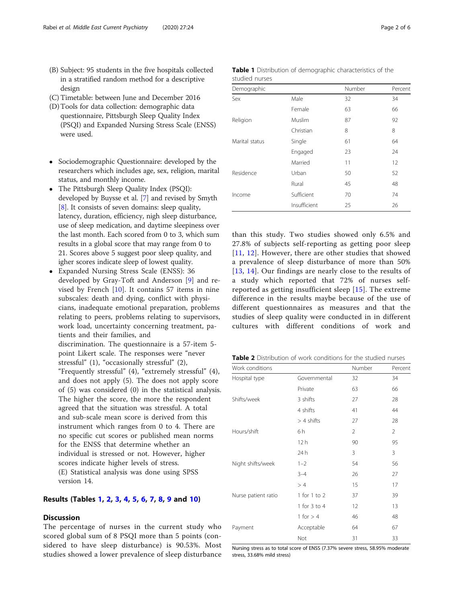- (B) Subject: 95 students in the five hospitals collected in a stratified random method for a descriptive design
- (C) Timetable: between June and December 2016
- (D)Tools for data collection: demographic data questionnaire, Pittsburgh Sleep Quality Index (PSQI) and Expanded Nursing Stress Scale (ENSS) were used.
- Sociodemographic Questionnaire: developed by the researchers which includes age, sex, religion, marital status, and monthly income.
- The Pittsburgh Sleep Quality Index (PSQI): developed by Buysse et al. [[7](#page-5-0)] and revised by Smyth [[8\]](#page-5-0). It consists of seven domains: sleep quality, latency, duration, efficiency, nigh sleep disturbance, use of sleep medication, and daytime sleepiness over the last month. Each scored from 0 to 3, which sum results in a global score that may range from 0 to 21. Scores above 5 suggest poor sleep quality, and igher scores indicate sleep of lowest quality.
- Expanded Nursing Stress Scale (ENSS): 36 developed by Gray-Toft and Anderson [[9](#page-5-0)] and revised by French [\[10](#page-5-0)]. It contains 57 items in nine subscales: death and dying, conflict with physicians, inadequate emotional preparation, problems relating to peers, problems relating to supervisors, work load, uncertainty concerning treatment, patients and their families, and discrimination. The questionnaire is a 57-item 5 point Likert scale. The responses were "never stressful" (1), "occasionally stressful" (2), "Frequently stressful" (4), "extremely stressful" (4), and does not apply (5). The does not apply score of (5) was considered (0) in the statistical analysis. The higher the score, the more the respondent agreed that the situation was stressful. A total and sub-scale mean score is derived from this

instrument which ranges from 0 to 4. There are no specific cut scores or published mean norms for the ENSS that determine whether an individual is stressed or not. However, higher scores indicate higher levels of stress. (E) Statistical analysis was done using SPSS version 14.

#### Results (Tables 1, 2, [3,](#page-2-0) [4](#page-2-0), [5,](#page-2-0) [6,](#page-2-0) [7](#page-3-0), [8,](#page-3-0) [9](#page-4-0) and [10](#page-4-0))

#### **Discussion**

The percentage of nurses in the current study who scored global sum of 8 PSQI more than 5 points (considered to have sleep disturbance) is 90.53%. Most studies showed a lower prevalence of sleep disturbance

| studied nurses |        |        |         |
|----------------|--------|--------|---------|
| Demographic    |        | Number | Percent |
| Sex            | Male   | 32     | 34      |
|                | Female |        | hh      |

Table 1 Distribution of demographic characteristics of the

| CCX            | ividle.      | ΟZ | - 24 |
|----------------|--------------|----|------|
|                | Female       | 63 | 66   |
| Religion       | Muslim       | 87 | 92   |
|                | Christian    | 8  | 8    |
| Marital status | Single       | 61 | 64   |
|                | Engaged      | 23 | 24   |
|                | Married      | 11 | 12   |
| Residence      | Urban        | 50 | 52   |
|                | Rural        | 45 | 48   |
| Income         | Sufficient   | 70 | 74   |
|                | Insufficient | 25 | 26   |
|                |              |    |      |

than this study. Two studies showed only 6.5% and 27.8% of subjects self-reporting as getting poor sleep [[11](#page-5-0), [12](#page-5-0)]. However, there are other studies that showed a prevalence of sleep disturbance of more than 50% [[13](#page-5-0), [14](#page-5-0)]. Our findings are nearly close to the results of a study which reported that 72% of nurses selfreported as getting insufficient sleep [[15](#page-5-0)]. The extreme difference in the results maybe because of the use of different questionnaires as measures and that the studies of sleep quality were conducted in in different cultures with different conditions of work and

|  | <b>Table 2</b> Distribution of work conditions for the studied nurses |
|--|-----------------------------------------------------------------------|
|--|-----------------------------------------------------------------------|

| Work conditions                                     |              | Number         | Percent        |
|-----------------------------------------------------|--------------|----------------|----------------|
| Hospital type                                       | Governmental | 32             | 34             |
|                                                     | Private      | 63             | 66             |
| Shifts/week                                         | 3 shifts     | 27             | 28             |
|                                                     | 4 shifts     | 41             | 44             |
|                                                     | $> 4$ shifts | 27             | 28             |
| Hours/shift                                         | 6h           | $\overline{2}$ | $\overline{2}$ |
| Night shifts/week<br>Nurse patient ratio<br>Payment | 12h          | 90             | 95             |
|                                                     | 24 h         | 3              | 3              |
|                                                     | $1 - 2$      | 54             | 56             |
|                                                     | $3 - 4$      | 26             | 27             |
|                                                     | >4           | 15             | 17             |
|                                                     | 1 for 1 to 2 | 37             | 39             |
|                                                     | 1 for 3 to 4 | 12             | 13             |
|                                                     | 1 for $> 4$  | 46             | 48             |
|                                                     | Acceptable   | 64             | 67             |
|                                                     | Not          | 31             | 33             |

Nursing stress as to total score of ENSS (7.37% severe stress, 58.95% moderate stress, 33.68% mild stress)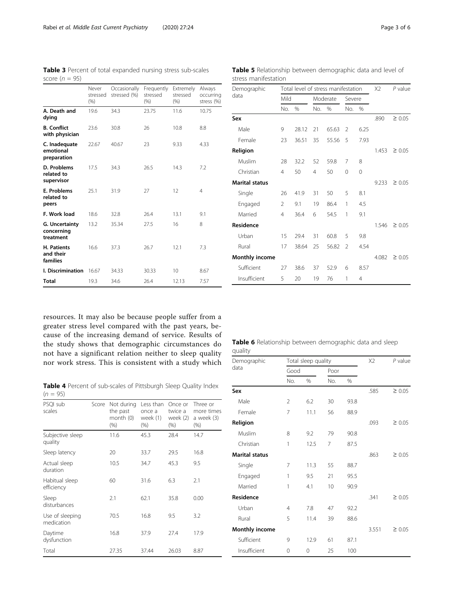<span id="page-2-0"></span>Table 3 Percent of total expanded nursing stress sub-scales score ( $n = 95$ )

|                                           | Never<br>stressed<br>(% ) | Occasionally<br>stressed (%) | Frequently<br>stressed<br>(% ) | Extremely<br>stressed<br>(% ) | Always<br>occurring<br>stress (%) |
|-------------------------------------------|---------------------------|------------------------------|--------------------------------|-------------------------------|-----------------------------------|
| A. Death and<br>dying                     | 19.6                      | 34.3                         | 23.75                          | 11.6                          | 10.75                             |
| <b>B.</b> Conflict<br>with physician      | 23.6                      | 30.8                         | 26                             | 10.8                          | 8.8                               |
| C. Inadequate<br>emotional<br>preparation | 22.67                     | 23<br>40.67                  |                                | 9.33                          | 4.33                              |
| D. Problems<br>related to<br>supervisor   | 17.5                      | 34.3                         | 26.5<br>14.3                   |                               | 7.2                               |
| E. Problems<br>related to<br>peers        | 25.1<br>31.9              |                              | 27                             | 12                            | 4                                 |
| F. Work load                              | 18.6                      | 32.8                         | 26.4                           | 13.1                          | 9.1                               |
| G. Uncertainty<br>concerning<br>treatment | 13.2                      | 35.34                        | 27.5                           | 16                            | 8                                 |
| H. Patients<br>and their<br>families      | 16.6<br>37.3<br>26.7      |                              |                                | 12.1                          | 7.3                               |
| I. Discrimination                         | 16.67                     | 34.33                        | 30.33                          | 10                            | 8.67                              |
| Total                                     | 19.3                      | 34.6                         | 26.4                           | 12.13                         | 7.57                              |

resources. It may also be because people suffer from a greater stress level compared with the past years, because of the increasing demand of service. Results of the study shows that demographic circumstances do not have a significant relation neither to sleep quality nor work stress. This is consistent with a study which

Table 4 Percent of sub-scales of Pittsburgh Sleep Quality Index  $(n = 95)$ 

| PSQI sub<br>scales            | Score | Not during<br>the past<br>month (0)<br>$(\% )$ | Less than<br>once a<br>week (1)<br>$(\% )$ | Once or<br>twice a<br>week (2)<br>$(\% )$ | Three or<br>more times<br>a week (3)<br>$(\% )$ |
|-------------------------------|-------|------------------------------------------------|--------------------------------------------|-------------------------------------------|-------------------------------------------------|
| Subjective sleep<br>quality   |       | 11.6                                           | 45.3                                       | 28.4                                      | 14.7                                            |
| Sleep latency                 |       | 20                                             | 33.7                                       | 29.5                                      | 16.8                                            |
| Actual sleep<br>duration      |       | 10.5                                           | 34.7                                       | 45.3                                      | 9.5                                             |
| Habitual sleep<br>efficiency  |       | 60                                             | 31.6                                       | 6.3                                       | 2.1                                             |
| Sleep<br>disturbances         |       | 2.1                                            | 62.1                                       | 35.8                                      | 0.00                                            |
| Use of sleeping<br>medication |       | 70.5                                           | 16.8                                       | 9.5                                       | 3.2                                             |
| Daytime<br>dysfunction        |       | 16.8                                           | 37.9                                       | 27.4                                      | 17.9                                            |
| Total                         |       | 27.35                                          | 37.44                                      | 26.03                                     | 8.87                                            |

Table 5 Relationship between demographic data and level of stress manifestation

| Demographic           |                | Total level of stress manifestation | X <sub>2</sub> | P value       |                          |               |       |             |
|-----------------------|----------------|-------------------------------------|----------------|---------------|--------------------------|---------------|-------|-------------|
| data                  | Mild           |                                     |                | Moderate      | Severe                   |               |       |             |
|                       | No.            | $\frac{0}{0}$                       | No.            | $\frac{0}{0}$ | No.                      | $\frac{0}{0}$ |       |             |
| Sex                   |                |                                     |                |               |                          |               | .890  | $\geq 0.05$ |
| Male                  | 9              | 28.12                               | 21             | 65.63         | $\overline{2}$           | 6.25          |       |             |
| Female                | 23             | 36.51                               | 35             | 55.56         | 5                        | 7.93          |       |             |
| Religion              |                |                                     |                |               |                          |               | 1.453 | $\geq 0.05$ |
| Muslim                | 28             | 32.2                                | 52             | 59.8          | 7                        | 8             |       |             |
| Christian             | $\overline{4}$ | 50                                  | 4              | 50            | 0                        | $\Omega$      |       |             |
| <b>Marital status</b> |                |                                     |                |               |                          |               | 9.233 | $\geq 0.05$ |
| Single                | 26             | 41.9                                | 31             | 50            | 5                        | 8.1           |       |             |
| Engaged               | 2              | 9.1                                 | 19             | 86.4          | 1                        | 4.5           |       |             |
| Married               | $\overline{4}$ | 36.4                                | 6              | 54.5          | 1                        | 9.1           |       |             |
| <b>Residence</b>      |                |                                     |                |               |                          |               | 1.546 | $\geq 0.05$ |
| Urban                 | 15             | 29.4                                | 31             | 60.8          | 5                        | 9.8           |       |             |
| Rural                 | 17             | 38.64                               | 25             | 56.82         | $\overline{\phantom{a}}$ | 4.54          |       |             |
| <b>Monthly income</b> |                |                                     |                |               |                          |               | 4.082 | $\geq 0.05$ |
| Sufficient            | 27             | 38.6                                | 37             | 52.9          | 6                        | 8.57          |       |             |
| Insufficient          | 5              | 20                                  | 19             | 76            | 1                        | 4             |       |             |

|         |  | Table 6 Relationship between demographic data and sleep |  |  |
|---------|--|---------------------------------------------------------|--|--|
| quality |  |                                                         |  |  |

| Demographic           |                | Total sleep quality | X <sub>2</sub> | $P$ value |       |             |
|-----------------------|----------------|---------------------|----------------|-----------|-------|-------------|
| data                  |                | Good                |                |           |       |             |
|                       | No.            | %                   | No.            | %         |       |             |
| Sex                   |                |                     |                |           | .585  | $\geq 0.05$ |
| Male                  | 2              | 6.2                 | 30             | 93.8      |       |             |
| Female                | 7              | 11.1                | 56             | 88.9      |       |             |
| Religion              |                |                     |                |           | .093  | $\geq 0.05$ |
| Muslim                | 8              | 9.2                 | 79             | 90.8      |       |             |
| Christian             | 1              | 12.5                | 7              | 87.5      |       |             |
| <b>Marital status</b> |                |                     |                |           | .863  | $\geq 0.05$ |
| Single                | 7              | 11.3                | 55             | 88.7      |       |             |
| Engaged               | 1              | 9.5                 | 21             | 95.5      |       |             |
| Married               | 1              | 4.1                 | 10             | 90.9      |       |             |
| <b>Residence</b>      |                |                     |                |           | .341  | $\geq 0.05$ |
| Urban                 | $\overline{4}$ | 7.8                 | 47             | 92.2      |       |             |
| Rural                 | 5              | 11.4                | 39             | 88.6      |       |             |
| <b>Monthly income</b> |                |                     |                |           | 3.551 | $\geq 0.05$ |
| Sufficient            | 9              | 12.9                | 61             | 87.1      |       |             |
| Insufficient          | $\Omega$       | $\mathbf 0$         | 25             | 100       |       |             |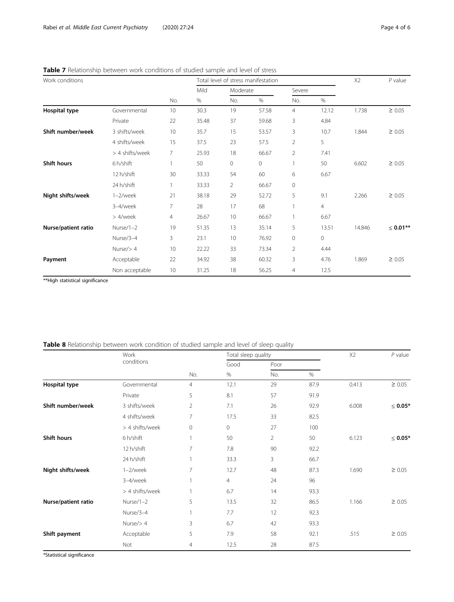| Work conditions      |                 |                 |       |                | Total level of stress manifestation |                |                | X2     | $P$ value     |
|----------------------|-----------------|-----------------|-------|----------------|-------------------------------------|----------------|----------------|--------|---------------|
|                      |                 |                 | Mild  | Moderate       |                                     | Severe         |                |        |               |
|                      |                 | No.             | $\%$  | No.            | %                                   | No.            | %              |        |               |
| <b>Hospital type</b> | Governmental    | 10 <sup>°</sup> | 30.3  | 19             | 57.58                               | 4              | 12.12          | 1.738  | $\geq 0.05$   |
|                      | Private         | 22              | 35.48 | 37             | 59.68                               | 3              | 4.84           |        |               |
| Shift number/week    | 3 shifts/week   | 10              | 35.7  | 15             | 53.57                               | 3              | 10.7           | 1.844  | $\geq 0.05$   |
|                      | 4 shifts/week   | 15              | 37.5  | 23             | 57.5                                | 2              | 5              |        |               |
|                      | > 4 shifts/week | 7               | 25.93 | 18             | 66.67                               | 2              | 7.41           |        |               |
| <b>Shift hours</b>   | 6 h/shift       | 1               | 50    | 0              | 0                                   | 1.             | 50             | 6.602  | $\geq 0.05$   |
|                      | 12 h/shift      | 30              | 33.33 | 54             | 60                                  | 6              | 6.67           |        |               |
|                      | 24 h/shift      |                 | 33.33 | $\overline{2}$ | 66.67                               | $\circ$        |                |        |               |
| Night shifts/week    | $1-2$ /week     | 21              | 38.18 | 29             | 52.72                               | 5              | 9.1            | 2.266  | $\geq 0.05$   |
|                      | 3-4/week        | 7               | 28    | 17             | 68                                  |                | $\overline{4}$ |        |               |
|                      | > 4/week        | $\overline{4}$  | 26.67 | 10             | 66.67                               |                | 6.67           |        |               |
| Nurse/patient ratio  | Nurse/1-2       | 19              | 51.35 | 13             | 35.14                               | 5              | 13.51          | 14.846 | $\leq$ 0.01** |
|                      | Nurse/3-4       | 3               | 23.1  | 10             | 76.92                               | $\circ$        | 0              |        |               |
|                      | Nurse $/$ > 4   | 10              | 22.22 | 33             | 73.34                               | $\overline{2}$ | 4.44           |        |               |
| Payment              | Acceptable      | 22              | 34.92 | 38             | 60.32                               | 3              | 4.76           | 1.869  | $\geq 0.05$   |
|                      | Non acceptable  | 10              | 31.25 | 18             | 56.25                               | 4              | 12.5           |        |               |

<span id="page-3-0"></span>Table 7 Relationship between work conditions of studied sample and level of stress

\*\*High statistical significance

| Table 8 Relationship between work condition of studied sample and level of sleep quality |  |  |  |
|------------------------------------------------------------------------------------------|--|--|--|
|------------------------------------------------------------------------------------------|--|--|--|

|                     | Work            |                | Total sleep quality |      |      | X2    | $P$ value     |
|---------------------|-----------------|----------------|---------------------|------|------|-------|---------------|
|                     | conditions      |                | Good                | Poor |      |       |               |
|                     |                 | No.            | %                   | No.  | $\%$ |       |               |
| Hospital type       | Governmental    | $\overline{4}$ | 12.1                | 29   | 87.9 | 0.413 | $\geq 0.05$   |
|                     | Private         | 5              | 8.1                 | 57   | 91.9 |       |               |
| Shift number/week   | 3 shifts/week   | 2              | 7.1                 | 26   | 92.9 | 6.008 | $\leq 0.05^*$ |
|                     | 4 shifts/week   | 7              | 17.5                | 33   | 82.5 |       |               |
|                     | > 4 shifts/week | 0              | $\mathsf{O}\xspace$ | 27   | 100  |       |               |
| <b>Shift hours</b>  | 6 h/shift       |                | 50                  | 2    | 50   | 6.123 | $\leq 0.05*$  |
|                     | 12 h/shift      | 7              | 7.8                 | 90   | 92.2 |       |               |
|                     | 24 h/shift      |                | 33.3                | 3    | 66.7 |       |               |
| Night shifts/week   | $1-2$ /week     | $\overline{7}$ | 12.7                | 48   | 87.3 | 1.690 | $\geq 0.05$   |
|                     | 3-4/week        |                | $\overline{4}$      | 24   | 96   |       |               |
|                     | > 4 shifts/week |                | 6.7                 | 14   | 93.3 |       |               |
| Nurse/patient ratio | Nurse/1-2       | 5              | 13.5                | 32   | 86.5 | 1.166 | $\geq 0.05$   |
|                     | Nurse/3-4       |                | 7.7                 | 12   | 92.3 |       |               |
|                     | Nurse $/$ > 4   | 3              | 6.7                 | 42   | 93.3 |       |               |
| Shift payment       | Acceptable      | 5              | 7.9                 | 58   | 92.1 | .515  | $\geq 0.05$   |
|                     | Not             | 4              | 12.5                | 28   | 87.5 |       |               |

\*Statistical significance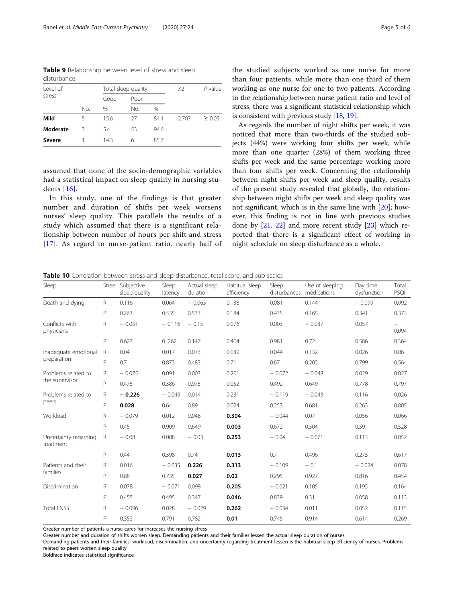<span id="page-4-0"></span>Table 9 Relationship between level of stress and sleep disturbance

| Level of |     |      | Total sleep quality |      | X <sub>2</sub> | P value     |
|----------|-----|------|---------------------|------|----------------|-------------|
| stress   |     | Good | Poor                |      |                |             |
|          | No. | $\%$ | No.                 | $\%$ |                |             |
| Mild     |     | 15.6 | 27                  | 84.4 | 2.707          | $\geq 0.05$ |
| Moderate | Κ   | 5.4  | 53                  | 94.6 |                |             |
| Severe   |     | 14.3 | 6                   | 85.7 |                |             |

assumed that none of the socio-demographic variables had a statistical impact on sleep quality in nursing students [[16](#page-5-0)].

In this study, one of the findings is that greater number and duration of shifts per week worsens nurses' sleep quality. This parallels the results of a study which assumed that there is a significant relationship between number of hours per shift and stress [[17](#page-5-0)]. As regard to nurse-patient ratio, nearly half of the studied subjects worked as one nurse for more than four patients, while more than one third of them working as one nurse for one to two patients. According to the relationship between nurse patient ratio and level of stress, there was a significant statistical relationship which is consistent with previous study [\[18,](#page-5-0) [19](#page-5-0)].

As regards the number of night shifts per week, it was noticed that more than two-thirds of the studied subjects (44%) were working four shifts per week, while more than one quarter (28%) of them working three shifts per week and the same percentage working more than four shifts per week. Concerning the relationship between night shifts per week and sleep quality, results of the present study revealed that globally, the relationship between night shifts per week and sleep quality was not significant, which is in the same line with [\[20](#page-5-0)]; however, this finding is not in line with previous studies done by [[21](#page-5-0), [22](#page-5-0)] and more recent study [\[23](#page-5-0)] which reported that there is a significant effect of working in night schedule on sleep disturbance as a whole.

Table 10 Correlation between stress and sleep disturbance, total score, and sub-scales

| Sleep                                 | Stree        | Subjective<br>sleep quality | Sleep<br>latency | Actual sleep<br>duration | Habitual sleep<br>efficiency | Sleep    | Use of sleeping<br>disturbances medications | Day time<br>dysfunction | Total<br>PSQI                     |
|---------------------------------------|--------------|-----------------------------|------------------|--------------------------|------------------------------|----------|---------------------------------------------|-------------------------|-----------------------------------|
| Death and dying                       | $\mathsf{R}$ | 0.116                       | 0.064            | $-0.065$                 | 0.138                        | 0.081    | 0.144                                       | $-0.099$                | 0.092                             |
|                                       | $\mathsf{P}$ | 0.263                       | 0.535            | 0.533                    | 0.184                        | 0.435    | 0.165                                       | 0.341                   | 0.373                             |
| Conflicts with<br>physicians          | $\mathsf{R}$ | $-0.051$                    | $-0.116$         | $-0.15$                  | 0.076                        | 0.003    | $-0.037$                                    | 0.057                   | $\overline{\phantom{0}}$<br>0.094 |
|                                       | P            | 0.627                       | 0.262            | 0.147                    | 0.464                        | 0.981    | 0.72                                        | 0.586                   | 0.364                             |
| Inadequate emotional<br>preparation   | $\mathsf R$  | 0.04                        | 0.017            | 0.073                    | 0.039                        | 0.044    | 0.132                                       | 0.026                   | 0.06                              |
|                                       | $\mathsf{P}$ | 0.7                         | 0.873            | 0.483                    | 0.71                         | 0.67     | 0.202                                       | 0.799                   | 0.564                             |
| Problems related to<br>the supervisor | $\mathsf{R}$ | $-0.075$                    | 0.091            | 0.003                    | 0.201                        | $-0.072$ | $-0.048$                                    | 0.029                   | 0.027                             |
|                                       | $\mathsf{P}$ | 0.475                       | 0.386            | 0.975                    | 0.052                        | 0.492    | 0.649                                       | 0.778                   | 0.797                             |
| Problems related to<br>peers          | $\mathsf{R}$ | $-0.226$                    | $-0.049$         | 0.014                    | 0.231                        | $-0.119$ | $-0.043$                                    | 0.116                   | 0.026                             |
|                                       | $\mathsf{P}$ | 0.028                       | 0.64             | 0.89                     | 0.024                        | 0.253    | 0.681                                       | 0.263                   | 0.805                             |
| Workload                              | R            | $-0.079$                    | 0.012            | 0.048                    | 0.304                        | $-0.044$ | 0.07                                        | 0.056                   | 0.066                             |
|                                       | P            | 0.45                        | 0.909            | 0.649                    | 0.003                        | 0.672    | 0.504                                       | 0.59                    | 0.528                             |
| Uncertainty regarding<br>treatment    | R            | $-0.08$                     | 0.088            | $-0.03$                  | 0.253                        | $-0.04$  | $-0.071$                                    | 0.113                   | 0.052                             |
|                                       | P            | 0.44                        | 0.398            | 0.74                     | 0.013                        | 0.7      | 0.496                                       | 0.275                   | 0.617                             |
| Patients and their<br>families        | $\mathsf{R}$ | 0.016                       | $-0.035$         | 0.226                    | 0.313                        | $-0.109$ | $-0.1$                                      | $-0.024$                | 0.078                             |
|                                       | $\mathsf{P}$ | 0.88                        | 0.735            | 0.027                    | 0.02                         | 0.295    | 0.927                                       | 0.816                   | 0.454                             |
| Discrimination                        | R            | 0.078                       | $-0.071$         | 0.098                    | 0.205                        | $-0.021$ | 0.105                                       | 0.195                   | 0.164                             |
|                                       | $\mathsf{P}$ | 0.455                       | 0.495            | 0.347                    | 0.046                        | 0.839    | 0.31                                        | 0.058                   | 0.113                             |
| <b>Total ENSS</b>                     | R            | $-0.096$                    | 0.028            | $-0.029$                 | 0.262                        | $-0.034$ | 0.011                                       | 0.052                   | 0.115                             |
|                                       | $\mathsf{P}$ | 0.353                       | 0.791            | 0.782                    | 0.01                         | 0.745    | 0.914                                       | 0.614                   | 0.269                             |

Greater number of patients a nurse cares for increases the nursing stress

Greater number and duration of shifts worsen sleep. Demanding patients and their families lessen the actual sleep duration of nurses

Demanding patients and their families, workload, discrimination, and uncertainty regarding treatment lessen is the habitual sleep efficiency of nurses. Problems related to peers worsen sleep quality

Boldface indicates statistical significance